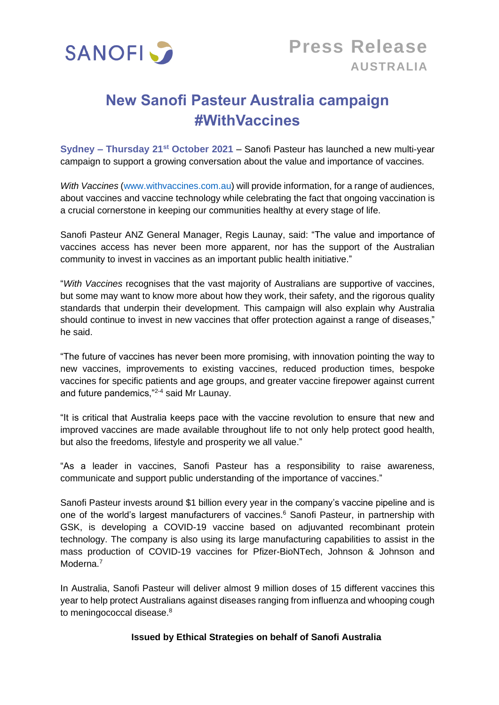

# **New Sanofi Pasteur Australia campaign #WithVaccines**

**Sydney – Thursday 21st October 2021** – Sanofi Pasteur has launched a new multi-year campaign to support a growing conversation about the value and importance of vaccines.

*With Vaccines* [\(www.withvaccines.com.au\)](http://www.withvaccines.com.au/) will provide information, for a range of audiences, about vaccines and vaccine technology while celebrating the fact that ongoing vaccination is a crucial cornerstone in keeping our communities healthy at every stage of life.

Sanofi Pasteur ANZ General Manager, Regis Launay, said: "The value and importance of vaccines access has never been more apparent, nor has the support of the Australian community to invest in vaccines as an important public health initiative."

"*With Vaccines* recognises that the vast majority of Australians are supportive of vaccines, but some may want to know more about how they work, their safety, and the rigorous quality standards that underpin their development. This campaign will also explain why Australia should continue to invest in new vaccines that offer protection against a range of diseases," he said.

"The future of vaccines has never been more promising, with innovation pointing the way to new vaccines, improvements to existing vaccines, reduced production times, bespoke vaccines for specific patients and age groups, and greater vaccine firepower against current and future pandemics,"2-4 said Mr Launay.

"It is critical that Australia keeps pace with the vaccine revolution to ensure that new and improved vaccines are made available throughout life to not only help protect good health, but also the freedoms, lifestyle and prosperity we all value."

"As a leader in vaccines, Sanofi Pasteur has a responsibility to raise awareness, communicate and support public understanding of the importance of vaccines."

Sanofi Pasteur invests around \$1 billion every year in the company's vaccine pipeline and is one of the world's largest manufacturers of vaccines.<sup>6</sup> Sanofi Pasteur, in partnership with GSK, is developing a COVID-19 vaccine based on adjuvanted recombinant protein technology. The company is also using its large manufacturing capabilities to assist in the mass production of COVID-19 vaccines for Pfizer-BioNTech, Johnson & Johnson and Moderna.<sup>7</sup>

In Australia, Sanofi Pasteur will deliver almost 9 million doses of 15 different vaccines this year to help protect Australians against diseases ranging from influenza and whooping cough to meningococcal disease.<sup>8</sup>

## **Issued by Ethical Strategies on behalf of Sanofi Australia**